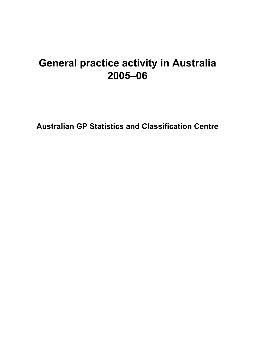### **General practice activity in Australia 2005–06**

**Australian GP Statistics and Classification Centre**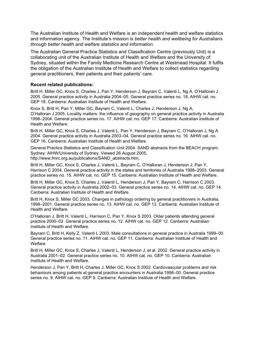The Australian Institute of Health and Welfare is an independent health and welfare statistics and information agency. The Institute's mission is *better health and wellbeing for Australians through better health and welfare statistics and information*.

The Australian General Practice Statistics and Classification Centre (previously Unit) is a collaborating unit of the Australian Institute of Health and Welfare and the University of Sydney, situated within the Family Medicine Research Centre at Westmead Hospital. It fulfils the obligation of the Australian Institute of Health and Welfare to collect statistics regarding general practitioners, their patients and their patients' care.

#### **Recent related publications:**

Britt H, Miller GC, Knox S, Charles J, Pan Y, Henderson J, Bayram C, Valenti L, Ng A, O'Halloran J 2005. General practice activity in Australia 2004–05. General practice series no. 18. AIHW cat. no. GEP 18. Canberra: Australian Institute of Health and Welfare.

Knox S, Britt H, Pan Y, Miller GC, Bayram C, Valenti L, Charles J, Henderson J, Ng A, O'Halloran J 2005. Locality matters: the influence of geography on general practice activity in Australia 1998–2004. General practice series no. 17. AIHW cat. no. GEP 17. Canberra: Australian Institute of Health and Welfare.

Britt H, Miller GC, Knox S, Charles J, Valenti L, Pan Y, Henderson J, Bayram C, O'Halloran J, Ng A 2004. General practice activity in Australia 2003–04. General practice series no. 16. AIHW cat. no. GEP 16. Canberra: Australian Institute of Health and Welfare.

General Practice Statistics and Classification Unit 2004. SAND abstracts from the BEACH program. Sydney: AIHW/University of Sydney. Viewed 26 August 2005, http://www.fmrc.org.au/publications/SAND\_abstracts.htm.

Britt H, Miller GC, Knox S, Charles J, Valenti L, Bayram C, O'Halloran J, Henderson J, Pan Y, Harrison C 2004. General practice activity in the states and territories of Australia 1998–2003. General practice series no. 15. AIHW cat. no. GEP 15. Canberra: Australian Institute of Health and Welfare.

Britt H, Miller GC, Knox S, Charles J, Valenti L, Henderson J, Pan Y, Bayram C, Harrison C 2003. General practice activity in Australia 2002–03. General practice series no. 14. AIHW cat. no. GEP 14. Canberra: Australian Institute of Health and Welfare.

Britt H, Knox S, Miller GC 2003. Changes in pathology ordering by general practitioners in Australia, 1998–2001. General practice series no. 13. AIHW cat. no. GEP 13. Canberra: Australian Institute of Health and Welfare.

O'Halloran J, Britt H, Valenti L, Harrison C, Pan Y, Knox S 2003. Older patients attending general practice 2000–02. General practice series no. 12. AIHW cat. no. GEP 12. Canberra: Australian Institute of Health and Welfare.

Bayram C, Britt H, Kelly Z, Valenti L 2003. Male consultations in general practice in Australia 1999–00. General practice series no. 11. AIHW cat. no. GEP 11. Canberra: Australian Institute of Health and Welfare.

Britt H, Miller GC, Knox S, Charles J, Valenti L, Henderson J, et al. 2002. General practice activity in Australia 2001–02. General practice series no. 10. AIHW cat. no. GEP 10. Canberra: Australian Institute of Health and Welfare.

Henderson J, Pan Y, Britt H, Charles J, Miller GC, Knox S 2002. Cardiovascular problems and risk behaviours among patients at general practice encounters in Australia 1998–00. General practice series no. 9. AIHW cat. no. GEP 9. Canberra: Australian Institute of Health and Welfare.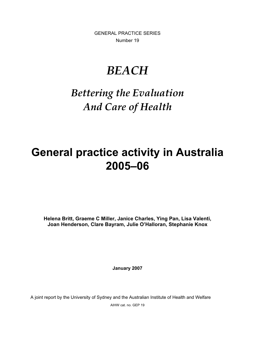GENERAL PRACTICE SERIES Number 19

## *BEACH*

### *Bettering the Evaluation And Care of Health*

## **General practice activity in Australia 2005–06**

**Helena Britt, Graeme C Miller, Janice Charles, Ying Pan, Lisa Valenti, Joan Henderson, Clare Bayram, Julie O'Halloran, Stephanie Knox**

**January 2007** 

A joint report by the University of Sydney and the Australian Institute of Health and Welfare

AIHW cat. no. GEP 19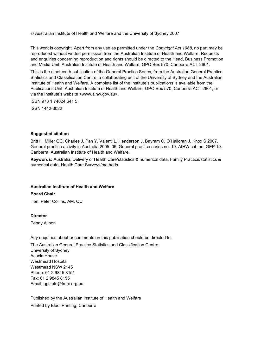¤ Australian Institute of Health and Welfare and the University of Sydney 2007

This work is copyright. Apart from any use as permitted under the *Copyright Act 1968*, no part may be reproduced without written permission from the Australian Institute of Health and Welfare. Requests and enquiries concerning reproduction and rights should be directed to the Head, Business Promotion and Media Unit, Australian Institute of Health and Welfare, GPO Box 570, Canberra ACT 2601.

This is the nineteenth publication of the General Practice Series, from the Australian General Practice Statistics and Classification Centre, a collaborating unit of the University of Sydney and the Australian Institute of Health and Welfare. A complete list of the Institute's publications is available from the Publications Unit, Australian Institute of Health and Welfare, GPO Box 570, Canberra ACT 2601, or via the Institute's website <www.aihw.gov.au>.

ISBN 978 1 74024 641 5

ISSN 1442-3022

#### **Suggested citation**

Britt H, Miller GC, Charles J, Pan Y, Valenti L, Henderson J, Bayram C, O'Halloran J, Knox S 2007. General practice activity in Australia 2005–06. General practice series no. 19. AIHW cat. no. GEP 19. Canberra: Australian Institute of Health and Welfare.

**Keywords:** Australia, Delivery of Health Care/statistics & numerical data, Family Practice/statistics & numerical data, Health Care Surveys/methods.

#### **Australian Institute of Health and Welfare**

**Board Chair** Hon. Peter Collins, AM, QC

**Director** 

Penny Allbon

Any enquiries about or comments on this publication should be directed to:

The Australian General Practice Statistics and Classification Centre University of Sydney Acacia House Westmead Hospital Westmead NSW 2145 Phone: 61 2 9845 8151 Fax: 61 2 9845 8155 Email: gpstats@fmrc.org.au

Published by the Australian Institute of Health and Welfare Printed by Elect Printing, Canberra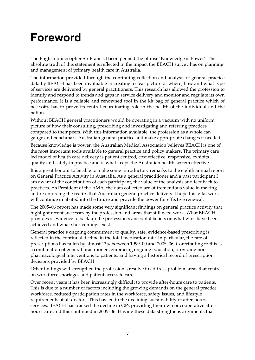## **Foreword**

The English philosopher Sir Francis Bacon penned the phrase 'Knowledge is Power'. The absolute truth of this statement is reflected in the impact the BEACH survey has on planning and management of primary health care in Australia.

The information provided through the continuing collection and analysis of general practice data by BEACH has been invaluable in creating a clear picture of where, how and what type of services are delivered by general practitioners. This research has allowed the profession to identify and respond to trends and gaps in service delivery and monitor and regulate its own performance. It is a reliable and renowned tool in the kit bag of general practice which of necessity has to prove its central coordinating role in the health of the individual and the nation.

Without BEACH general practitioners would be operating in a vacuum with no uniform picture of how their consulting, prescribing and investigating and referring practices compared to their peers. With this information available, the profession as a whole can gauge and benchmark Australian general practice and make appropriate changes if needed.

Because knowledge is power, the Australian Medical Association believes BEACH is one of the most important tools available to general practice and policy makers. The primary care led model of health care delivery is patient centred, cost effective, responsive, exhibits quality and safety in practice and is what keeps the Australian health system effective.

It is a great honour to be able to make some introductory remarks to the eighth annual report on General Practice Activity in Australia. As a general practitioner and a past participant I am aware of the contribution of each participant, the value of the analysis and feedback to practices. As President of the AMA, the data collected are of tremendous value in making and re-enforcing the reality that Australian general practice delivers. I hope this vital work will continue unabated into the future and provide the power for effective renewal.

The 2005–06 report has made some very significant findings on general practice activity that highlight recent successes by the profession and areas that still need work. What BEACH provides is evidence to back up the profession's anecdotal beliefs on what wins have been achieved and what shortcomings exist.

General practice's ongoing commitment to quality, safe, evidence-based prescribing is reflected in the continual decline in the total medication rate. In particular, the rate of prescriptions has fallen by almost 13% between 1999–00 and 2005–06. Contributing to this is a combination of general practitioners embracing ongoing education, providing nonpharmacological interventions to patients, and having a historical record of prescription decisions provided by BEACH.

Other findings will strengthen the profession's resolve to address problem areas that centre on workforce shortages and patient access to care.

Over recent years it has been increasingly difficult to provide after-hours care to patients. This is due to a number of factors including the growing demands on the general practice workforce, reduced participation rates in the workforce, safety issues, and lifestyle requirements of all doctors. This has led to the declining sustainability of after-hours services. BEACH has tracked the decline in GPs providing their own or cooperative afterhours care and this continued in 2005–06. Having these data strengthens arguments that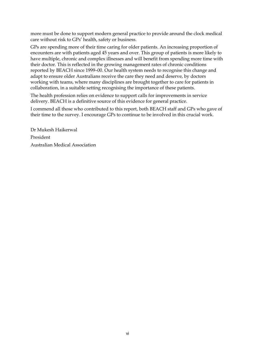more must be done to support modern general practice to provide around the clock medical care without risk to GPs' health, safety or business.

GPs are spending more of their time caring for older patients. An increasing proportion of encounters are with patients aged 45 years and over. This group of patients is more likely to have multiple, chronic and complex illnesses and will benefit from spending more time with their doctor. This is reflected in the growing management rates of chronic conditions reported by BEACH since 1999–00. Our health system needs to recognise this change and adapt to ensure older Australians receive the care they need and deserve, by doctors working with teams, where many disciplines are brought together to care for patients in collaboration, in a suitable setting recognising the importance of these patients.

The health profession relies on evidence to support calls for improvements in service delivery. BEACH is a definitive source of this evidence for general practice.

I commend all those who contributed to this report, both BEACH staff and GPs who gave of their time to the survey. I encourage GPs to continue to be involved in this crucial work.

Dr Mukesh Haikerwal President Australian Medical Association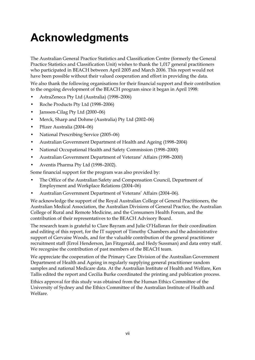# **Acknowledgments**

The Australian General Practice Statistics and Classification Centre (formerly the General Practice Statistics and Classification Unit) wishes to thank the 1,017 general practitioners who participated in BEACH between April 2005 and March 2006. This report would not have been possible without their valued cooperation and effort in providing the data.

We also thank the following organisations for their financial support and their contribution to the ongoing development of the BEACH program since it began in April 1998:

- AstraZeneca Pty Ltd (Australia) (1998–2006)
- Roche Products Pty Ltd (1998–2006)
- Janssen-Cilag Pty Ltd (2000–06)
- Merck, Sharp and Dohme (Australia) Pty Ltd (2002–06)
- Pfizer Australia (2004–06)
- National Prescribing Service (2005–06)
- Australian Government Department of Health and Ageing (1998–2004)
- National Occupational Health and Safety Commission (1998–2000)
- Australian Government Department of Veterans' Affairs (1998–2000)
- Aventis Pharma Pty Ltd (1998–2002).

Some financial support for the program was also provided by:

- The Office of the Australian Safety and Compensation Council, Department of Employment and Workplace Relations (2004–06)
- Australian Government Department of Veterans' Affairs (2004–06).

We acknowledge the support of the Royal Australian College of General Practitioners, the Australian Medical Association, the Australian Divisions of General Practice, the Australian College of Rural and Remote Medicine, and the Consumers Health Forum, and the contribution of their representatives to the BEACH Advisory Board.

The research team is grateful to Clare Bayram and Julie O'Halloran for their coordination and editing of this report, for the IT support of Timothy Chambers and the administrative support of Gervaise Woods, and for the valuable contribution of the general practitioner recruitment staff (Errol Henderson, Jan Fitzgerald, and Hedy Sussman) and data entry staff. We recognise the contribution of past members of the BEACH team.

We appreciate the cooperation of the Primary Care Division of the Australian Government Department of Health and Ageing in regularly supplying general practitioner random samples and national Medicare data. At the Australian Institute of Health and Welfare, Ken Tallis edited the report and Cecilia Burke coordinated the printing and publication process.

Ethics approval for this study was obtained from the Human Ethics Committee of the University of Sydney and the Ethics Committee of the Australian Institute of Health and Welfare.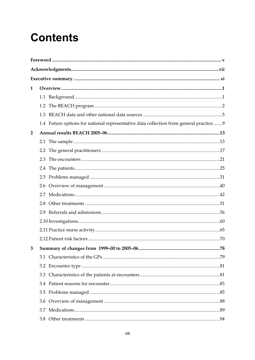## **Contents**

| 1              |                                                                                       |  |  |  |
|----------------|---------------------------------------------------------------------------------------|--|--|--|
|                |                                                                                       |  |  |  |
|                |                                                                                       |  |  |  |
|                |                                                                                       |  |  |  |
|                | 1.4 Future options for national representative data collection from general practice9 |  |  |  |
| $\overline{2}$ |                                                                                       |  |  |  |
|                |                                                                                       |  |  |  |
|                |                                                                                       |  |  |  |
|                | 2.3                                                                                   |  |  |  |
|                |                                                                                       |  |  |  |
|                | 2.5                                                                                   |  |  |  |
|                |                                                                                       |  |  |  |
|                |                                                                                       |  |  |  |
|                |                                                                                       |  |  |  |
|                |                                                                                       |  |  |  |
|                |                                                                                       |  |  |  |
|                |                                                                                       |  |  |  |
|                |                                                                                       |  |  |  |
|                |                                                                                       |  |  |  |
|                |                                                                                       |  |  |  |
|                |                                                                                       |  |  |  |
|                |                                                                                       |  |  |  |
|                |                                                                                       |  |  |  |
|                |                                                                                       |  |  |  |
|                |                                                                                       |  |  |  |
|                |                                                                                       |  |  |  |
|                |                                                                                       |  |  |  |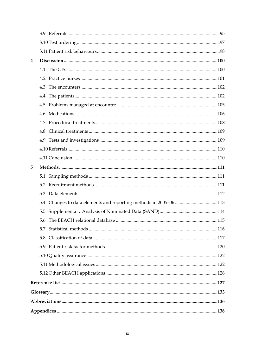| 4                                                                 |  |  |  |
|-------------------------------------------------------------------|--|--|--|
|                                                                   |  |  |  |
|                                                                   |  |  |  |
|                                                                   |  |  |  |
|                                                                   |  |  |  |
|                                                                   |  |  |  |
| 4.6                                                               |  |  |  |
|                                                                   |  |  |  |
|                                                                   |  |  |  |
|                                                                   |  |  |  |
|                                                                   |  |  |  |
|                                                                   |  |  |  |
| 5                                                                 |  |  |  |
|                                                                   |  |  |  |
|                                                                   |  |  |  |
|                                                                   |  |  |  |
| 5.4 Changes to data elements and reporting methods in 2005-06 113 |  |  |  |
|                                                                   |  |  |  |
| .115                                                              |  |  |  |
| 5.7                                                               |  |  |  |
| 5.8                                                               |  |  |  |
| 5.9                                                               |  |  |  |
|                                                                   |  |  |  |
|                                                                   |  |  |  |
|                                                                   |  |  |  |
|                                                                   |  |  |  |
|                                                                   |  |  |  |
|                                                                   |  |  |  |
|                                                                   |  |  |  |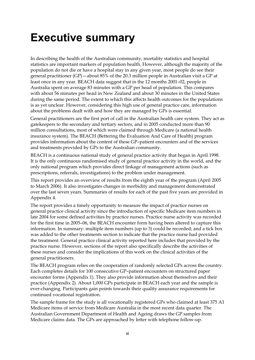## **Executive summary**

In describing the health of the Australian community, mortality statistics and hospital statistics are important markers of population health. However, although the majority of the population do not die or have a hospital stay in any given year, most people do see their general practitioner (GP)—about 85% of the 20.3 million people in Australian visit a GP at least once in any year. BEACH data suggest that in the 12 months 2001–02, people in Australia spent on average 83 minutes with a GP per head of population. This compares with about 56 minutes per head in New Zealand and about 30 minutes in the United States during the same period. The extent to which this affects health outcomes for the populations is as yet unclear. However, considering this high use of general practice care, information about the problems dealt with and how they are managed by GPs is essential.

General practitioners are the first port of call in the Australian health care system. They act as gatekeepers to the secondary and tertiary sectors, and in 2005 conducted more than 90 million consultations, most of which were claimed through Medicare (a national health insurance system). The BEACH (Bettering the Evaluation And Care of Health) program provides information about the content of these GP–patient encounters and of the services and treatments provided by GPs to the Australian community.

BEACH is a continuous national study of general practice activity that began in April 1998. It is the only continuous randomised study of general practice activity in the world, and the only national program which provides direct linkage of management actions (such as prescriptions, referrals, investigations) to the problem under management.

This report provides an overview of results from the eighth year of the program (April 2005 to March 2006). It also investigates changes in morbidity and management demonstrated over the last seven years. Summaries of results for each of the past five years are provided in Appendix 4.

The report provides a timely opportunity to measure the impact of practice nurses on general practice clinical activity since the introduction of specific Medicare item numbers in late 2004 for some defined activities by practice nurses. Practice nurse activity was recorded for the first time in 2005–06, the BEACH encounter form having been altered to capture this information. In summary: multiple item numbers (up to 3) could be recorded; and a tick box was added to the other treatments section to indicate that the practice nurse had provided the treatment. General practice clinical activity reported here includes that provided by the practice nurse. However, sections of the report also specifically describe the activities of these nurses and consider the implications of this work on the clinical activities of the general practitioners.

The BEACH program relies on the cooperation of randomly selected GPs across the country. Each completes details for 100 consecutive GP–patient encounters on structured paper encounter forms (Appendix 1). They also provide information about themselves and their practice (Appendix 2). About 1,000 GPs participate in BEACH each year and the sample is ever-changing. Participants gain points towards their quality assurance requirements for continued vocational registration.

The sample frame for the study is all vocationally registered GPs who claimed at least 375 A1 Medicare items of service from Medicare Australia in the most recent data quarter. The Australian Government Department of Health and Ageing draws the GP samples from Medicare claims data. The GPs are approached by letter with telephone follow-up.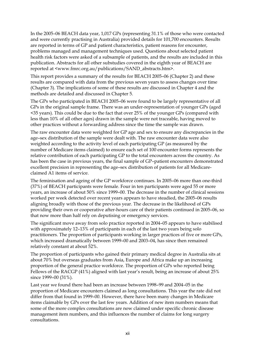In the 2005–06 BEACH data year, 1,017 GPs (representing 31.1% of those who were contacted and were currently practising in Australia) provided details for 101,700 encounters. Results are reported in terms of GP and patient characteristics, patient reasons for encounter, problems managed and management techniques used. Questions about selected patient health risk factors were asked of a subsample of patients, and the results are included in this publication. Abstracts for all other substudies covered in the eighth year of BEACH are reported at <www.fmrc.org.au/publications/SAND\_abstracts.htm>.

This report provides a summary of the results for BEACH 2005–06 (Chapter 2) and these results are compared with data from the previous seven years to assess changes over time (Chapter 3). The implications of some of these results are discussed in Chapter 4 and the methods are detailed and discussed in Chapter 5.

The GPs who participated in BEACH 2005–06 were found to be largely representative of all GPs in the original sample frame. There was an under-representation of younger GPs (aged <35 years). This could be due to the fact that over 25% of the younger GPs (compared with less than 10% of all other ages) drawn in the sample were not traceable, having moved to other practices without a forwarding address since the time the sample was drawn.

The raw encounter data were weighted for GP age and sex to ensure any discrepancies in the age–sex distribution of the sample were dealt with. The raw encounter data were also weighted according to the activity level of each participating GP (as measured by the number of Medicare items claimed) to ensure each set of 100 encounter forms represents the relative contribution of each participating GP to the total encounters across the country. As has been the case in previous years, the final sample of GP–patient encounters demonstrated excellent precision in representing the age–sex distribution of patients for all Medicareclaimed A1 items of service.

The feminisation and ageing of the GP workforce continues. In 2005–06 more than one-third (37%) of BEACH participants were female. Four in ten participants were aged 55 or more years, an increase of about 50% since 1999–00. The decrease in the number of clinical sessions worked per week detected over recent years appears to have steadied, the 2005–06 results aligning broadly with those of the previous year. The decrease in the likelihood of GPs providing their own or cooperative after-hours care of their patients continued in 2005–06, so that now more than half rely on deputising or emergency services.

The significant move away from solo practice reported in 2004–05 appears to have stabilised with approximately 12–13% of participants in each of the last two years being solo practitioners. The proportion of participants working in larger practices of five or more GPs, which increased dramatically between 1999–00 and 2003–04, has since then remained relatively constant at about 52%.

The proportion of participants who gained their primary medical degree in Australia sits at about 70% but overseas graduates from Asia, Europe and Africa make up an increasing proportion of the general practice workforce. The proportion of GPs who reported being Fellows of the RACGP (41%) aligned with last year's result, being an increase of about 25% since 1999–00 (31%).

Last year we found there had been an increase between 1998–99 and 2004–05 in the proportion of Medicare encounters claimed as long consultations. This year the rate did not differ from that found in 1999–00. However, there have been many changes in Medicare items claimable by GPs over the last few years. Addition of new item numbers means that some of the more complex consultations are now claimed under specific chronic disease management item numbers, and this influences the number of claims for long surgery consultations.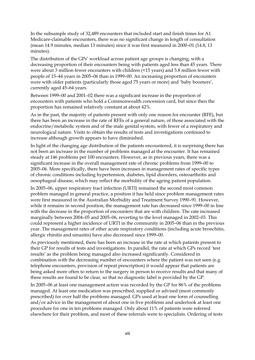In the subsample study of 32,489 encounters that included start and finish times for A1 Medicare-claimable encounters, there was no significant change in length of consultation (mean 14.9 minutes, median 13 minutes) since it was first measured in 2000–01 (14.8, 13 minutes).

The distribution of the GPs' workload across patient age groups is changing, with a decreasing proportion of their encounters being with patients aged less than 45 years. There were about 3 million fewer encounters with children (<15 years) and 5.8 million fewer with people of 15–44 years in 2005–06 than in 1999–00. An increasing proportion of encounters were with older patients (particularly those aged 75 years or more) and 'baby boomers', currently aged 45–64 years.

Between 1999–00 and 2001–02 there was a significant increase in the proportion of encounters with patients who hold a Commonwealth concession card, but since then the proportion has remained relatively constant at about 42%.

As in the past, the majority of patients present with only one reason for encounter (RFE), but there has been an increase in the rate of RFEs of a general nature, of those associated with the endocrine/metabolic system and of the male genital system, with fewer of a respiratory and neurological nature. Visits to obtain the results of tests and investigations continued to increase although growth appears to have diminished.

In light of the changing age distribution of the patients encountered, it is surprising there has not been an increase in the number of problems managed at the encounter. It has remained steady at 146 problems per 100 encounters. However, as in previous years, there was a significant increase in the overall management rate of chronic problems from 1999–00 to 2005–06. More specifically, there have been increases in management rates of specific types of chronic conditions including hypertension, diabetes, lipid disorders, osteoarthritis and oesophageal disease, which may reflect the morbidity of the ageing patient population.

In 2005–06, upper respiratory tract infection (URTI) remained the second most common problem managed in general practice, a position it has held since problem management rates were first measured in the Australian Morbidity and Treatment Survey 1990–91. However, while it remains in second position, the management rate has decreased since 1999–00 in line with the decrease in the proportion of encounters that are with children. The rate increased marginally between 2004–05 and 2005–06, reverting to the level managed in 2002–03. This could represent a higher incidence of URTI in the community in 2005–06 than in the previous year. The management rates of other acute respiratory conditions (including acute bronchitis, allergic rhinitis and sinusitis) have also decreased since 1999–00.

As previously mentioned, there has been an increase in the rate at which patients present to their GP for results of tests and investigations. In parallel, the rate at which GPs record 'test results' as the problem being managed also increased significantly. Considered in combination with the decreasing number of encounters where the patient was not seen (e.g. telephone encounters, provision of repeat prescription) it would appear that patients are being asked more often to return to the surgery in person to receive results and that many of these results are found to be clear, so that no diagnostic label is provided by the GP.

In 2005–06 at least one management action was recorded by the GP for 86% of the problems managed. At least one medication was prescribed, supplied or advised (most commonly prescribed) for over half the problems managed. GPs used at least one form of counselling and/or advice in the management of about one in five problems and undertook at least one procedure for one in ten problems managed. Only about 11% of patients were referred elsewhere for their problem, and most of these referrals were to specialists. Ordering of tests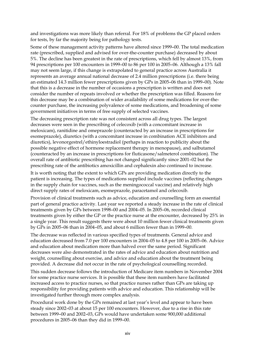and investigations was more likely than referral. For 18% of problems the GP placed orders for tests, by far the majority being for pathology tests.

Some of these management activity patterns have altered since 1999–00. The total medication rate (prescribed, supplied and advised for over-the-counter purchase) decreased by about 5%. The decline has been greatest in the rate of prescriptions, which fell by almost 13%, from 94 prescriptions per 100 encounters in 1999–00 to 86 per 100 in 2005–06. Although a 13% fall may not seem large, if this change is extrapolated to general practice across Australia it represents an average annual national decrease of 2.4 million prescriptions (i.e. there being an estimated 14.3 million fewer prescriptions given by GPs in 2005–06 than in 1999–00). Note that this is a decrease in the number of occasions a prescription is written and does not consider the number of repeats involved or whether the prescription was filled. Reasons for this decrease may be a combination of wider availability of some medications for over-thecounter purchase, the increasing polyvalence of some medications, and broadening of some government initiatives in terms of free supply of selected vaccines.

The decreasing prescription rate was not consistent across all drug types. The largest decreases were seen in the prescribing of celecoxib (with a concomitant increase in meloxicam), ranitidine and omeprazole (counteracted by an increase in prescriptions for esomeprazole), diuretics (with a concomitant increase in combination ACE inhibitors and diuretics), levonorgestrel/ethinyloestradiol (perhaps in reaction to publicity about the possible negative effect of hormone replacement therapy in menopause), and salbutamol (counteracted by an increase in prescriptions for fluticasone/salmeterol combination). The overall rate of antibiotic prescribing has not changed significantly since 2001–02 but the prescribing rate of the antibiotics amoxicillin and cephalexin also continued to increase.

It is worth noting that the extent to which GPs are providing medication directly to the patient is increasing. The types of medications supplied include vaccines (reflecting changes in the supply chain for vaccines, such as the meningococcal vaccine) and relatively high direct supply rates of meloxicam, esomeprazole, paracetamol and celecoxib.

Provision of clinical treatments such as advice, education and counselling form an essential part of general practice activity. Last year we reported a steady increase in the rate of clinical treatments given by GPs between 1998–00 and 2004–05. In 2005–06, recorded clinical treatments given by either the GP or the practice nurse at the encounter, decreased by 25% in a single year. This result suggests there were about 10 million fewer clinical treatments given by GPs in 2005–06 than in 2004–05, and about 6 million fewer than in 1999–00.

The decrease was reflected in various specified types of treatments. General advice and education decreased from 7.0 per 100 encounters in 2004–05 to 4.8 per 100 in 2005–06. Advice and education about medication more than halved over the same period. Significant decreases were also demonstrated in the rates of advice and education about nutrition and weight, counselling about exercise, and advice and education about the treatment being provided. A decrease did not occur in the rate of psychological counselling recorded.

This sudden decrease follows the introduction of Medicare item numbers in November 2004 for some practice nurse services. It is possible that these item numbers have facilitated increased access to practice nurses, so that practice nurses rather than GPs are taking up responsibility for providing patients with advice and education. This relationship will be investigated further through more complex analysis.

Procedural work done by the GPs remained at last year's level and appear to have been steady since 2002–03 at about 15 per 100 encounters. However, due to a rise in this rate between 1999–00 and 2002–03, GPs would have undertaken some 900,000 additional procedures in 2005–06 than they did in 1999–00.